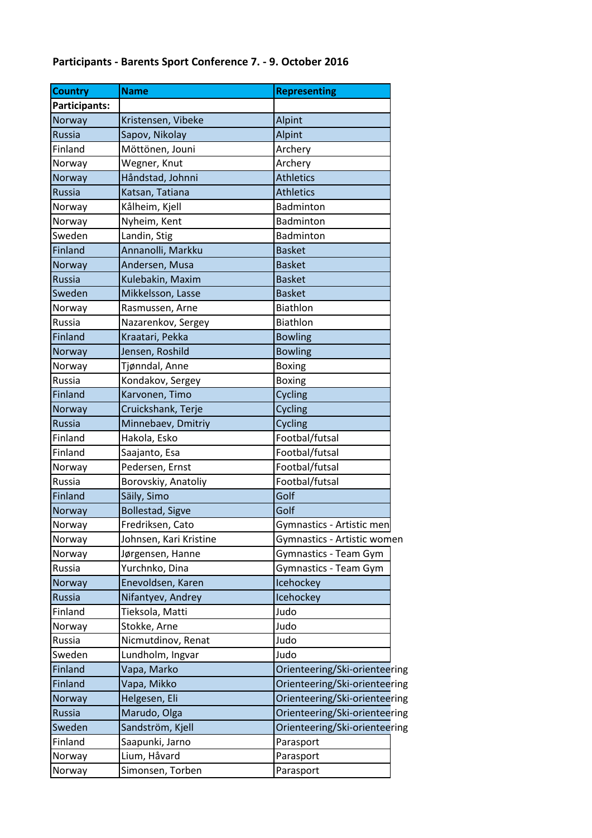## **Participants - Barents Sport Conference 7. - 9. October 2016**

| <b>Name</b>             | <b>Representing</b>                  |
|-------------------------|--------------------------------------|
|                         |                                      |
| Kristensen, Vibeke      | Alpint                               |
| Sapov, Nikolay          | Alpint                               |
| Möttönen, Jouni         | Archery                              |
| Wegner, Knut            | Archery                              |
| Håndstad, Johnni        | <b>Athletics</b>                     |
| Katsan, Tatiana         | <b>Athletics</b>                     |
| Kålheim, Kjell          | Badminton                            |
| Nyheim, Kent            | <b>Badminton</b>                     |
| Landin, Stig            | Badminton                            |
| Annanolli, Markku       | <b>Basket</b>                        |
| Andersen, Musa          | <b>Basket</b>                        |
| Kulebakin, Maxim        | <b>Basket</b>                        |
| Mikkelsson, Lasse       | <b>Basket</b>                        |
| Rasmussen, Arne         | Biathlon                             |
| Nazarenkov, Sergey      | <b>Biathlon</b>                      |
| Kraatari, Pekka         | <b>Bowling</b>                       |
| Jensen, Roshild         | <b>Bowling</b>                       |
|                         | <b>Boxing</b>                        |
| Kondakov, Sergey        | <b>Boxing</b>                        |
| Karvonen, Timo          | Cycling                              |
| Cruickshank, Terje      | Cycling                              |
|                         | Cycling                              |
| Hakola, Esko            | Footbal/futsal                       |
| Saajanto, Esa           | Footbal/futsal                       |
| Pedersen, Ernst         | Footbal/futsal                       |
| Borovskiy, Anatoliy     | Footbal/futsal                       |
| Säily, Simo             | Golf                                 |
| <b>Bollestad, Sigve</b> | Golf                                 |
| Fredriksen, Cato        | Gymnastics - Artistic men            |
| Johnsen, Kari Kristine  | Gymnastics - Artistic women          |
| Jørgensen, Hanne        | Gymnastics - Team Gym                |
| Yurchnko, Dina          | Gymnastics - Team Gym                |
| Enevoldsen, Karen       | Icehockey                            |
| Nifantyev, Andrey       | Icehockey                            |
| Tieksola, Matti         | Judo                                 |
| Stokke, Arne            | Judo                                 |
| Nicmutdinov, Renat      | Judo                                 |
| Lundholm, Ingvar        | Judo                                 |
| Vapa, Marko             | Orienteering/Ski-orienteering        |
| Vapa, Mikko             | Orienteering/Ski-orienteering        |
| Helgesen, Eli           | Orienteering/Ski-orienteering        |
| Marudo, Olga            | Orienteering/Ski-orienteering        |
| Sandström, Kjell        | Orienteering/Ski-orienteering        |
| Saapunki, Jarno         | Parasport                            |
| Lium, Håvard            | Parasport                            |
| Simonsen, Torben        | Parasport                            |
|                         | Tjønndal, Anne<br>Minnebaev, Dmitriy |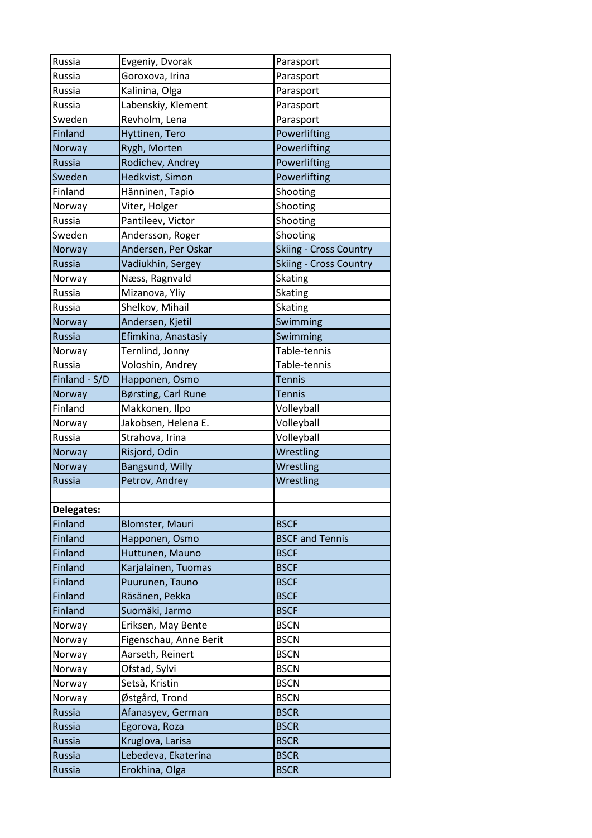| Russia        | Evgeniy, Dvorak        | Parasport                     |
|---------------|------------------------|-------------------------------|
| Russia        | Goroxova, Irina        | Parasport                     |
| Russia        | Kalinina, Olga         | Parasport                     |
| Russia        | Labenskiy, Klement     | Parasport                     |
| Sweden        | Revholm, Lena          | Parasport                     |
| Finland       | Hyttinen, Tero         | Powerlifting                  |
| Norway        | Rygh, Morten           | Powerlifting                  |
| <b>Russia</b> | Rodichev, Andrey       | Powerlifting                  |
| Sweden        | Hedkvist, Simon        | Powerlifting                  |
| Finland       | Hänninen, Tapio        | Shooting                      |
| Norway        | Viter, Holger          | Shooting                      |
| Russia        | Pantileev, Victor      | Shooting                      |
| Sweden        | Andersson, Roger       | Shooting                      |
| Norway        | Andersen, Per Oskar    | <b>Skiing - Cross Country</b> |
| <b>Russia</b> | Vadiukhin, Sergey      | <b>Skiing - Cross Country</b> |
| Norway        | Næss, Ragnvald         | Skating                       |
| Russia        | Mizanova, Yliy         | <b>Skating</b>                |
| Russia        | Shelkov, Mihail        | Skating                       |
| Norway        | Andersen, Kjetil       | Swimming                      |
| Russia        | Efimkina, Anastasiy    | Swimming                      |
| Norway        | Ternlind, Jonny        | Table-tennis                  |
| Russia        | Voloshin, Andrey       | Table-tennis                  |
| Finland - S/D | Happonen, Osmo         | <b>Tennis</b>                 |
| Norway        | Børsting, Carl Rune    | <b>Tennis</b>                 |
| Finland       | Makkonen, Ilpo         | Volleyball                    |
| Norway        | Jakobsen, Helena E.    | Volleyball                    |
| Russia        | Strahova, Irina        | Volleyball                    |
| Norway        | Risjord, Odin          | Wrestling                     |
| Norway        | <b>Bangsund, Willy</b> | Wrestling                     |
| <b>Russia</b> | Petrov, Andrey         | Wrestling                     |
|               |                        |                               |
| Delegates:    |                        |                               |
| Finland       | <b>Blomster, Mauri</b> | <b>BSCF</b>                   |
| Finland       | Happonen, Osmo         | <b>BSCF and Tennis</b>        |
| Finland       | Huttunen, Mauno        | <b>BSCF</b>                   |
| Finland       | Karjalainen, Tuomas    | <b>BSCF</b>                   |
| Finland       | Puurunen, Tauno        | <b>BSCF</b>                   |
| Finland       | Räsänen, Pekka         | <b>BSCF</b>                   |
| Finland       | Suomäki, Jarmo         | <b>BSCF</b>                   |
| Norway        | Eriksen, May Bente     | <b>BSCN</b>                   |
| Norway        | Figenschau, Anne Berit | <b>BSCN</b>                   |
| Norway        | Aarseth, Reinert       | <b>BSCN</b>                   |
| Norway        | Ofstad, Sylvi          | <b>BSCN</b>                   |
| Norway        | Setså, Kristin         | <b>BSCN</b>                   |
| Norway        | Østgård, Trond         | <b>BSCN</b>                   |
| <b>Russia</b> | Afanasyev, German      | <b>BSCR</b>                   |
| Russia        | Egorova, Roza          | <b>BSCR</b>                   |
| Russia        | Kruglova, Larisa       | <b>BSCR</b>                   |
| <b>Russia</b> | Lebedeva, Ekaterina    | <b>BSCR</b>                   |
| <b>Russia</b> | Erokhina, Olga         | <b>BSCR</b>                   |